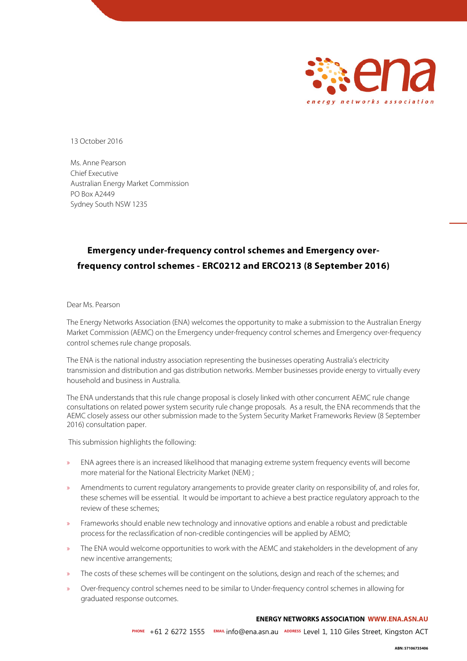

13 October 2016

Ms. Anne Pearson Chief Executive Australian Energy Market Commission PO Box A2449 Sydney South NSW 1235

# **Emergency under-frequency control schemes and Emergency overfrequency control schemes - ERC0212 and ERCO213 (8 September 2016)**

#### Dear Ms. Pearson

The Energy Networks Association (ENA) welcomes the opportunity to make a submission to the Australian Energy Market Commission (AEMC) on the Emergency under-frequency control schemes and Emergency over-frequency control schemes rule change proposals.

The ENA is the national industry association representing the businesses operating Australia's electricity transmission and distribution and gas distribution networks. Member businesses provide energy to virtually every household and business in Australia.

The ENA understands that this rule change proposal is closely linked with other concurrent AEMC rule change consultations on related power system security rule change proposals. As a result, the ENA recommends that the AEMC closely assess our other submission made to the System Security Market Frameworks Review (8 September 2016) consultation paper.

This submission highlights the following:

- » ENA agrees there is an increased likelihood that managing extreme system frequency events will become more material for the National Electricity Market (NEM) ;
- » Amendments to current regulatory arrangements to provide greater clarity on responsibility of, and roles for, these schemes will be essential. It would be important to achieve a best practice regulatory approach to the review of these schemes;
- » Frameworks should enable new technology and innovative options and enable a robust and predictable process for the reclassification of non-credible contingencies will be applied by AEMO;
- » The ENA would welcome opportunities to work with the AEMC and stakeholders in the development of any new incentive arrangements;
- » The costs of these schemes will be contingent on the solutions, design and reach of the schemes; and
- » Over-frequency control schemes need to be similar to Under-frequency control schemes in allowing for graduated response outcomes.

#### **ENERGY NETWORKS ASSOCIATION WWW.ENA.ASN.AU**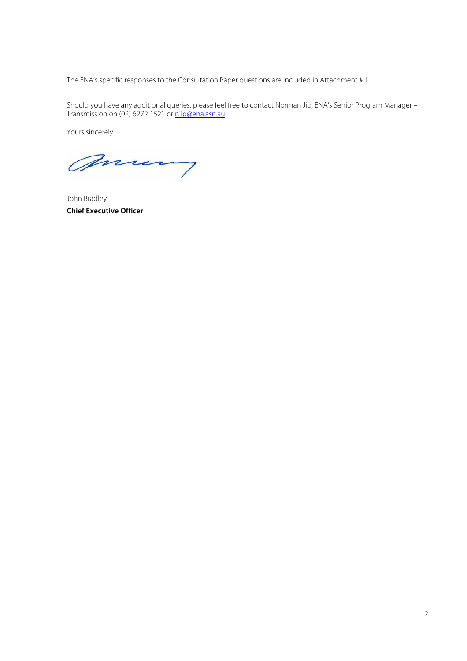The ENA's specific responses to the Consultation Paper questions are included in Attachment # 1.

Should you have any additional queries, please feel free to contact Norman Jip, ENA's Senior Program Manager – Transmission on (02) 6272 1521 or <u>njip@ena.asn.au</u>.

Yours sincerely

many

John Bradley **Chief Executive Officer**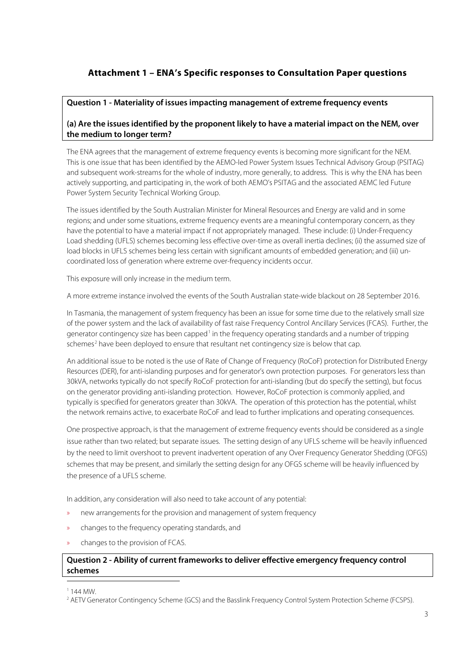## **Attachment 1 – ENA's Specific responses to Consultation Paper questions**

## **Question 1 - Materiality of issues impacting management of extreme frequency events**

## **(a) Are the issues identified by the proponent likely to have a material impact on the NEM, over the medium to longer term?**

The ENA agrees that the management of extreme frequency events is becoming more significant for the NEM. This is one issue that has been identified by the AEMO-led Power System Issues Technical Advisory Group (PSITAG) and subsequent work-streams for the whole of industry, more generally, to address. This is why the ENA has been actively supporting, and participating in, the work of both AEMO's PSITAG and the associated AEMC led Future Power System Security Technical Working Group.

The issues identified by the South Australian Minister for Mineral Resources and Energy are valid and in some regions; and under some situations, extreme frequency events are a meaningful contemporary concern, as they have the potential to have a material impact if not appropriately managed. These include: (i) Under-Frequency Load shedding (UFLS) schemes becoming less effective over-time as overall inertia declines; (ii) the assumed size of load blocks in UFLS schemes being less certain with significant amounts of embedded generation; and (iii) uncoordinated loss of generation where extreme over-frequency incidents occur.

This exposure will only increase in the medium term.

A more extreme instance involved the events of the South Australian state-wide blackout on 28 September 2016.

In Tasmania, the management of system frequency has been an issue for some time due to the relatively small size of the power system and the lack of availability of fast raise Frequency Control Ancillary Services (FCAS). Further, the generator contingency size has been capped<sup>[1](#page-2-0)</sup> in the frequency operating standards and a number of tripping schemes<sup>[2](#page-2-1)</sup> have been deployed to ensure that resultant net contingency size is below that cap.

An additional issue to be noted is the use of Rate of Change of Frequency (RoCoF) protection for Distributed Energy Resources (DER), for anti-islanding purposes and for generator's own protection purposes. For generators less than 30kVA, networks typically do not specify RoCoF protection for anti-islanding (but do specify the setting), but focus on the generator providing anti-islanding protection. However, RoCoF protection is commonly applied, and typically is specified for generators greater than 30kVA. The operation of this protection has the potential, whilst the network remains active, to exacerbate RoCoF and lead to further implications and operating consequences.

One prospective approach, is that the management of extreme frequency events should be considered as a single issue rather than two related; but separate issues. The setting design of any UFLS scheme will be heavily influenced by the need to limit overshoot to prevent inadvertent operation of any Over Frequency Generator Shedding (OFGS) schemes that may be present, and similarly the setting design for any OFGS scheme will be heavily influenced by the presence of a UFLS scheme.

In addition, any consideration will also need to take account of any potential:

- » new arrangements for the provision and management of system frequency
- » changes to the frequency operating standards, and
- » changes to the provision of FCAS.

## **Question 2 - Ability of current frameworks to deliver effective emergency frequency control schemes**

<span id="page-2-1"></span><span id="page-2-0"></span> $1144$  MW

 $\overline{a}$ 

<sup>&</sup>lt;sup>2</sup> AETV Generator Contingency Scheme (GCS) and the Basslink Frequency Control System Protection Scheme (FCSPS).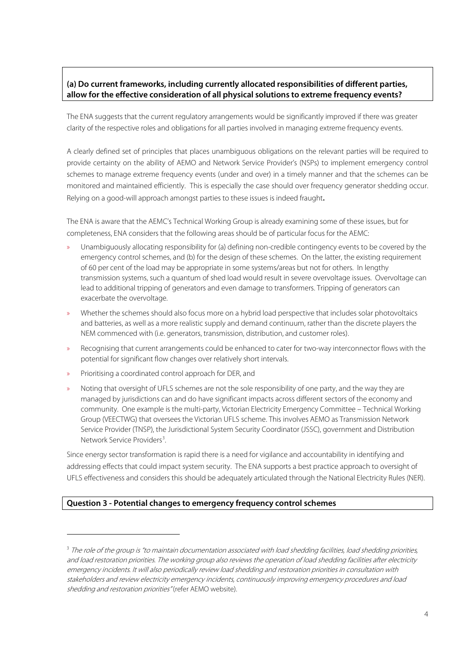## **(a) Do current frameworks, including currently allocated responsibilities of different parties, allow for the effective consideration of all physical solutions to extreme frequency events?**

The ENA suggests that the current regulatory arrangements would be significantly improved if there was greater clarity of the respective roles and obligations for all parties involved in managing extreme frequency events.

A clearly defined set of principles that places unambiguous obligations on the relevant parties will be required to provide certainty on the ability of AEMO and Network Service Provider's (NSPs) to implement emergency control schemes to manage extreme frequency events (under and over) in a timely manner and that the schemes can be monitored and maintained efficiently. This is especially the case should over frequency generator shedding occur. Relying on a good-will approach amongst parties to these issues is indeed fraught**.**

The ENA is aware that the AEMC's Technical Working Group is already examining some of these issues, but for completeness, ENA considers that the following areas should be of particular focus for the AEMC:

- » Unambiguously allocating responsibility for (a) defining non-credible contingency events to be covered by the emergency control schemes, and (b) for the design of these schemes. On the latter, the existing requirement of 60 per cent of the load may be appropriate in some systems/areas but not for others. In lengthy transmission systems, such a quantum of shed load would result in severe overvoltage issues. Overvoltage can lead to additional tripping of generators and even damage to transformers. Tripping of generators can exacerbate the overvoltage.
- » Whether the schemes should also focus more on a hybrid load perspective that includes solar photovoltaics and batteries, as well as a more realistic supply and demand continuum, rather than the discrete players the NEM commenced with (i.e. generators, transmission, distribution, and customer roles).
- » Recognising that current arrangements could be enhanced to cater for two-way interconnector flows with the potential for significant flow changes over relatively short intervals.
- » Prioritising a coordinated control approach for DER, and

 $\overline{a}$ 

» Noting that oversight of UFLS schemes are not the sole responsibility of one party, and the way they are managed by jurisdictions can and do have significant impacts across different sectors of the economy and community. One example is the multi-party, Victorian Electricity Emergency Committee – Technical Working Group (VEECTWG) that oversees the Victorian UFLS scheme. This involves AEMO as Transmission Network Service Provider (TNSP), the Jurisdictional System Security Coordinator (JSSC), government and Distribution Network Service Providers<sup>[3](#page-3-0)</sup>.

Since energy sector transformation is rapid there is a need for vigilance and accountability in identifying and addressing effects that could impact system security. The ENA supports a best practice approach to oversight of UFLS effectiveness and considers this should be adequately articulated through the National Electricity Rules (NER).

#### **Question 3 - Potential changes to emergency frequency control schemes**

<span id="page-3-0"></span><sup>&</sup>lt;sup>3</sup> The role of the group is "to maintain documentation associated with load shedding facilities, load shedding priorities, and load restoration priorities. The working group also reviews the operation of load shedding facilities after electricity emergency incidents. It will also periodically review load shedding and restoration priorities in consultation with stakeholders and review electricity emergency incidents, continuously improving emergency procedures and load shedding and restoration priorities" (refer AEMO website).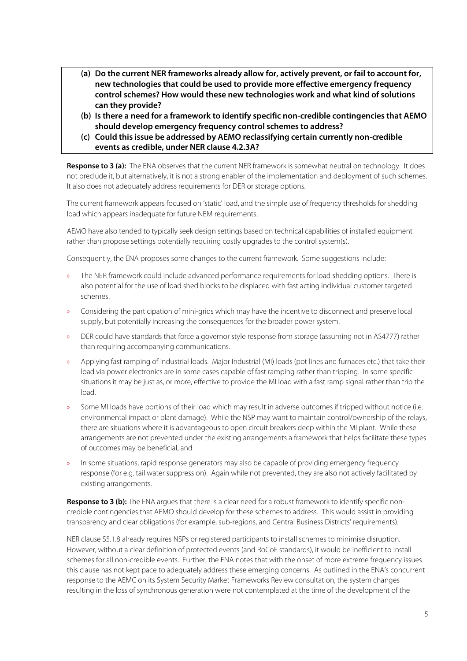- **(a) Do the current NER frameworks already allow for, actively prevent, or fail to account for, new technologies that could be used to provide more effective emergency frequency control schemes? How would these new technologies work and what kind of solutions can they provide?**
- **(b) Is there a need for a framework to identify specific non-credible contingencies that AEMO should develop emergency frequency control schemes to address?**
- **(c) Could this issue be addressed by AEMO reclassifying certain currently non-credible events as credible, under NER clause 4.2.3A?**

**Response to 3 (a):** The ENA observes that the current NER framework is somewhat neutral on technology. It does not preclude it, but alternatively, it is not a strong enabler of the implementation and deployment of such schemes. It also does not adequately address requirements for DER or storage options.

The current framework appears focused on 'static' load, and the simple use of frequency thresholds for shedding load which appears inadequate for future NEM requirements.

AEMO have also tended to typically seek design settings based on technical capabilities of installed equipment rather than propose settings potentially requiring costly upgrades to the control system(s).

Consequently, the ENA proposes some changes to the current framework. Some suggestions include:

- » The NER framework could include advanced performance requirements for load shedding options. There is also potential for the use of load shed blocks to be displaced with fast acting individual customer targeted schemes.
- » Considering the participation of mini-grids which may have the incentive to disconnect and preserve local supply, but potentially increasing the consequences for the broader power system.
- » DER could have standards that force a governor style response from storage (assuming not in AS4777) rather than requiring accompanying communications.
- » Applying fast ramping of industrial loads. Major Industrial (MI) loads (pot lines and furnaces etc.) that take their load via power electronics are in some cases capable of fast ramping rather than tripping. In some specific situations it may be just as, or more, effective to provide the MI load with a fast ramp signal rather than trip the load.
- » Some MI loads have portions of their load which may result in adverse outcomes if tripped without notice (i.e. environmental impact or plant damage). While the NSP may want to maintain control/ownership of the relays, there are situations where it is advantageous to open circuit breakers deep within the MI plant. While these arrangements are not prevented under the existing arrangements a framework that helps facilitate these types of outcomes may be beneficial, and
- » In some situations, rapid response generators may also be capable of providing emergency frequency response (for e.g. tail water suppression). Again while not prevented, they are also not actively facilitated by existing arrangements.

**Response to 3 (b):** The ENA argues that there is a clear need for a robust framework to identify specific noncredible contingencies that AEMO should develop for these schemes to address. This would assist in providing transparency and clear obligations (for example, sub-regions, and Central Business Districts' requirements).

NER clause S5.1.8 already requires NSPs or registered participants to install schemes to minimise disruption. However, without a clear definition of protected events (and RoCoF standards), it would be inefficient to install schemes for all non-credible events. Further, the ENA notes that with the onset of more extreme frequency issues this clause has not kept pace to adequately address these emerging concerns. As outlined in the ENA's concurrent response to the AEMC on its System Security Market Frameworks Review consultation, the system changes resulting in the loss of synchronous generation were not contemplated at the time of the development of the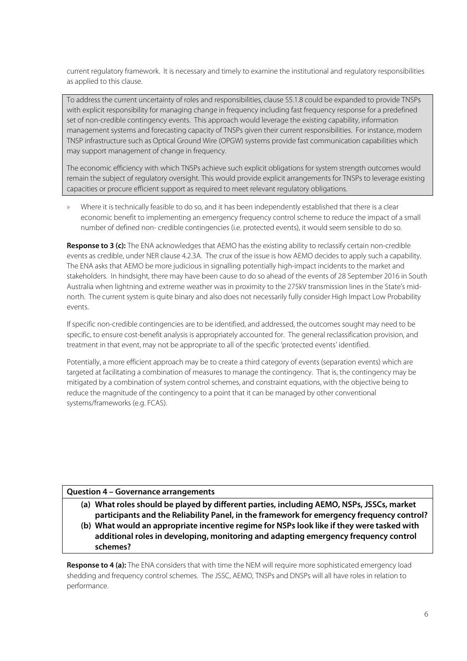current regulatory framework. It is necessary and timely to examine the institutional and regulatory responsibilities as applied to this clause.

To address the current uncertainty of roles and responsibilities, clause S5.1.8 could be expanded to provide TNSPs with explicit responsibility for managing change in frequency including fast frequency response for a predefined set of non-credible contingency events. This approach would leverage the existing capability, information management systems and forecasting capacity of TNSPs given their current responsibilities. For instance, modern TNSP infrastructure such as Optical Ground Wire (OPGW) systems provide fast communication capabilities which may support management of change in frequency.

The economic efficiency with which TNSPs achieve such explicit obligations for system strength outcomes would remain the subject of regulatory oversight. This would provide explicit arrangements for TNSPs to leverage existing capacities or procure efficient support as required to meet relevant regulatory obligations.

» Where it is technically feasible to do so, and it has been independently established that there is a clear economic benefit to implementing an emergency frequency control scheme to reduce the impact of a small number of defined non- credible contingencies (i.e. protected events), it would seem sensible to do so.

**Response to 3 (c):** The ENA acknowledges that AEMO has the existing ability to reclassify certain non-credible events as credible, under NER clause 4.2.3A. The crux of the issue is how AEMO decides to apply such a capability. The ENA asks that AEMO be more judicious in signalling potentially high-impact incidents to the market and stakeholders. In hindsight, there may have been cause to do so ahead of the events of 28 September 2016 in South Australia when lightning and extreme weather was in proximity to the 275kV transmission lines in the State's midnorth. The current system is quite binary and also does not necessarily fully consider High Impact Low Probability events.

If specific non-credible contingencies are to be identified, and addressed, the outcomes sought may need to be specific, to ensure cost-benefit analysis is appropriately accounted for. The general reclassification provision, and treatment in that event, may not be appropriate to all of the specific 'protected events' identified.

Potentially, a more efficient approach may be to create a third category of events (separation events) which are targeted at facilitating a combination of measures to manage the contingency. That is, the contingency may be mitigated by a combination of system control schemes, and constraint equations, with the objective being to reduce the magnitude of the contingency to a point that it can be managed by other conventional systems/frameworks (e.g. FCAS).

#### **Question 4 – Governance arrangements**

- **(a) What roles should be played by different parties, including AEMO, NSPs, JSSCs, market participants and the Reliability Panel, in the framework for emergency frequency control?**
- **(b) What would an appropriate incentive regime for NSPs look like if they were tasked with additional roles in developing, monitoring and adapting emergency frequency control schemes?**

**Response to 4 (a):** The ENA considers that with time the NEM will require more sophisticated emergency load shedding and frequency control schemes. The JSSC, AEMO, TNSPs and DNSPs will all have roles in relation to performance.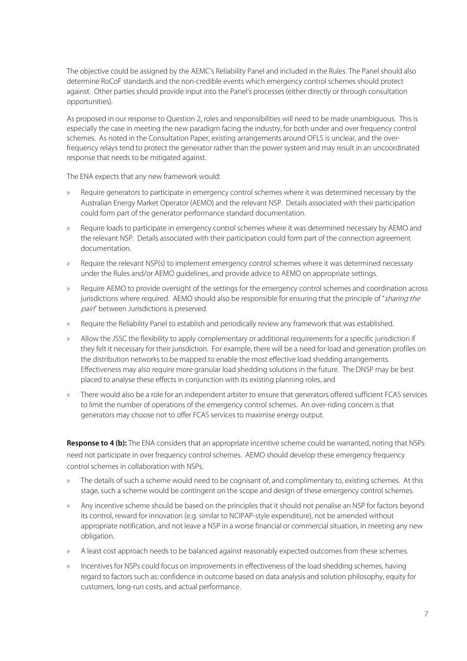The objective could be assigned by the AEMC's Reliability Panel and included in the Rules. The Panel should also determine RoCoF standards and the non-credible events which emergency control schemes should protect against. Other parties should provide input into the Panel's processes (either directly or through consultation opportunities).

As proposed in our response to Question 2, roles and responsibilities will need to be made unambiguous. This is especially the case in meeting the new paradigm facing the industry, for both under and over frequency control schemes. As noted in the Consultation Paper, existing arrangements around OFLS is unclear, and the overfrequency relays tend to protect the generator rather than the power system and may result in an uncoordinated response that needs to be mitigated against.

The ENA expects that any new framework would:

- » Require generators to participate in emergency control schemes where it was determined necessary by the Australian Energy Market Operator (AEMO) and the relevant NSP. Details associated with their participation could form part of the generator performance standard documentation.
- » Require loads to participate in emergency control schemes where it was determined necessary by AEMO and the relevant NSP. Details associated with their participation could form part of the connection agreement documentation.
- Require the relevant NSP(s) to implement emergency control schemes where it was determined necessary under the Rules and/or AEMO guidelines, and provide advice to AEMO on appropriate settings.
- » Require AEMO to provide oversight of the settings for the emergency control schemes and coordination across jurisdictions where required. AEMO should also be responsible for ensuring that the principle of "sharing the pain" between Jurisdictions is preserved.
- » Require the Reliability Panel to establish and periodically review any framework that was established.
- » Allow the JSSC the flexibility to apply complementary or additional requirements for a specific jurisdiction if they felt it necessary for their jurisdiction. For example, there will be a need for load and generation profiles on the distribution networks to be mapped to enable the most effective load shedding arrangements. Effectiveness may also require more granular load shedding solutions in the future. The DNSP may be best placed to analyse these effects in conjunction with its existing planning roles, and
- » There would also be a role for an independent arbiter to ensure that generators offered sufficient FCAS services to limit the number of operations of the emergency control schemes. An over-riding concern is that generators may choose not to offer FCAS services to maximise energy output.

**Response to 4 (b):** The ENA considers that an appropriate incentive scheme could be warranted, noting that NSPs need not participate in over frequency control schemes. AEMO should develop these emergency frequency control schemes in collaboration with NSPs.

- » The details of such a scheme would need to be cognisant of, and complimentary to, existing schemes. At this stage, such a scheme would be contingent on the scope and design of these emergency control schemes.
- » Any incentive scheme should be based on the principles that it should not penalise an NSP for factors beyond its control, reward for innovation (e.g. similar to NCIPAP-style expenditure), not be amended without appropriate notification, and not leave a NSP in a worse financial or commercial situation, in meeting any new obligation.
- » A least cost approach needs to be balanced against reasonably expected outcomes from these schemes.
- » Incentives for NSPs could focus on improvements in effectiveness of the load shedding schemes, having regard to factors such as: confidence in outcome based on data analysis and solution philosophy, equity for customers, long-run costs, and actual performance.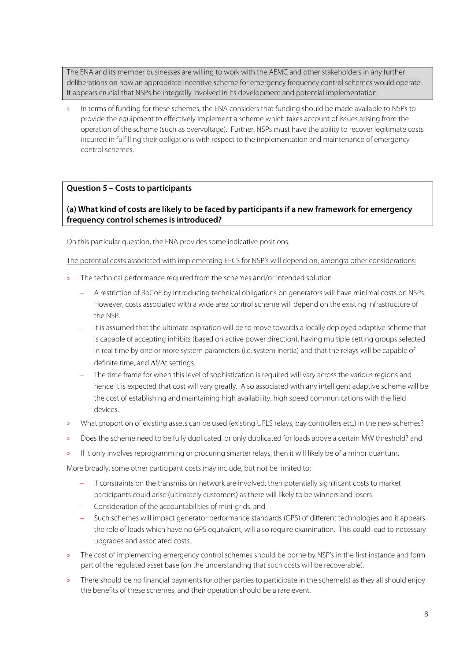The ENA and its member businesses are willing to work with the AEMC and other stakeholders in any further deliberations on how an appropriate incentive scheme for emergency frequency control schemes would operate. It appears crucial that NSPs be integrally involved in its development and potential implementation.

» In terms of funding for these schemes, the ENA considers that funding should be made available to NSPs to provide the equipment to effectively implement a scheme which takes account of issues arising from the operation of the scheme (such as overvoltage). Further, NSPs must have the ability to recover legitimate costs incurred in fulfilling their obligations with respect to the implementation and maintenance of emergency control schemes.

## **Question 5 – Costs to participants**

## **(a) What kind of costs are likely to be faced by participants if a new framework for emergency frequency control schemes is introduced?**

On this particular question, the ENA provides some indicative positions.

The potential costs associated with implementing EFCS for NSP's will depend on, amongst other considerations:

- » The technical performance required from the schemes and/or intended solution
	- A restriction of RoCoF by introducing technical obligations on generators will have minimal costs on NSPs. However, costs associated with a wide area control scheme will depend on the existing infrastructure of the NSP.
	- It is assumed that the ultimate aspiration will be to move towards a locally deployed adaptive scheme that is capable of accepting inhibits (based on active power direction), having multiple setting groups selected in real time by one or more system parameters (i.e. system inertia) and that the relays will be capable of definite time, and ∆f/∆t settings.
	- The time frame for when this level of sophistication is required will vary across the various regions and hence it is expected that cost will vary greatly. Also associated with any intelligent adaptive scheme will be the cost of establishing and maintaining high availability, high speed communications with the field devices.
- » What proportion of existing assets can be used (existing UFLS relays, bay controllers etc.) in the new schemes?
- » Does the scheme need to be fully duplicated, or only duplicated for loads above a certain MW threshold? and
- » If it only involves reprogramming or procuring smarter relays, then it will likely be of a minor quantum.

More broadly, some other participant costs may include, but not be limited to:

- If constraints on the transmission network are involved, then potentially significant costs to market participants could arise (ultimately customers) as there will likely to be winners and losers
- Consideration of the accountabilities of mini-grids, and
- Such schemes will impact generator performance standards (GPS) of different technologies and it appears the role of loads which have no GPS equivalent, will also require examination. This could lead to necessary upgrades and associated costs.
- » The cost of implementing emergency control schemes should be borne by NSP's in the first instance and form part of the regulated asset base (on the understanding that such costs will be recoverable).
- » There should be no financial payments for other parties to participate in the scheme(s) as they all should enjoy the benefits of these schemes, and their operation should be a rare event.